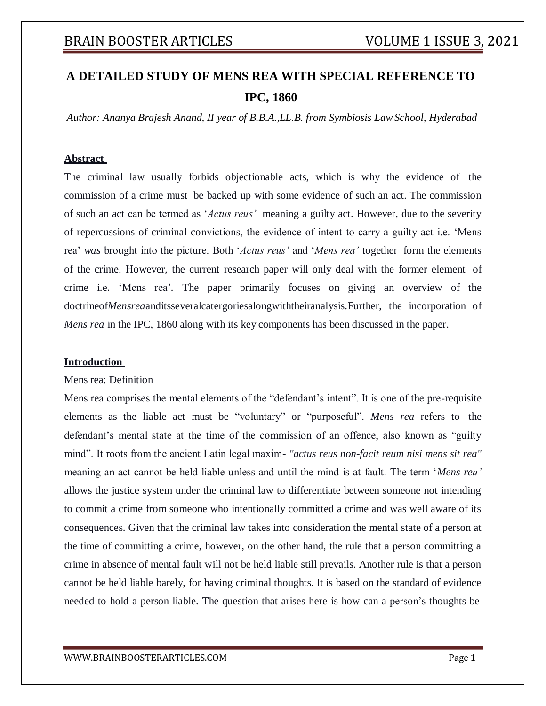# **A DETAILED STUDY OF MENS REA WITH SPECIAL REFERENCE TO IPC, 1860**

*Author: Ananya Brajesh Anand, II year of B.B.A.,LL.B. from Symbiosis LawSchool, Hyderabad*

### **Abstract**

The criminal law usually forbids objectionable acts, which is why the evidence of the commission of a crime must be backed up with some evidence of such an act. The commission of such an act can be termed as '*Actus reus'* meaning a guilty act. However, due to the severity of repercussions of criminal convictions, the evidence of intent to carry a guilty act i.e. 'Mens rea' *was* brought into the picture. Both '*Actus reus'* and '*Mens rea'* together form the elements of the crime. However, the current research paper will only deal with the former element of crime i.e. 'Mens rea'*.* The paper primarily focuses on giving an overview of the doctrineof*Mensrea*anditsseveralcatergoriesalongwiththeiranalysis.Further, the incorporation of *Mens rea* in the IPC, 1860 along with its key components has been discussed in the paper.

#### **Introduction**

#### Mens rea: Definition

Mens rea comprises the mental elements of the "defendant's intent". It is one of the pre-requisite elements as the liable act must be "voluntary" or "purposeful". *Mens rea* refers to the defendant's mental state at the time of the commission of an offence, also known as "guilty mind". It roots from the ancient Latin legal maxim- *"actus reus non-facit reum nisi mens sit rea"* meaning an act cannot be held liable unless and until the mind is at fault. The term '*Mens rea'* allows the justice system under the criminal law to differentiate between someone not intending to commit a crime from someone who intentionally committed a crime and was well aware of its consequences. Given that the criminal law takes into consideration the mental state of a person at the time of committing a crime, however, on the other hand, the rule that a person committing a crime in absence of mental fault will not be held liable still prevails. Another rule is that a person cannot be held liable barely, for having criminal thoughts. It is based on the standard of evidence needed to hold a person liable. The question that arises here is how can a person's thoughts be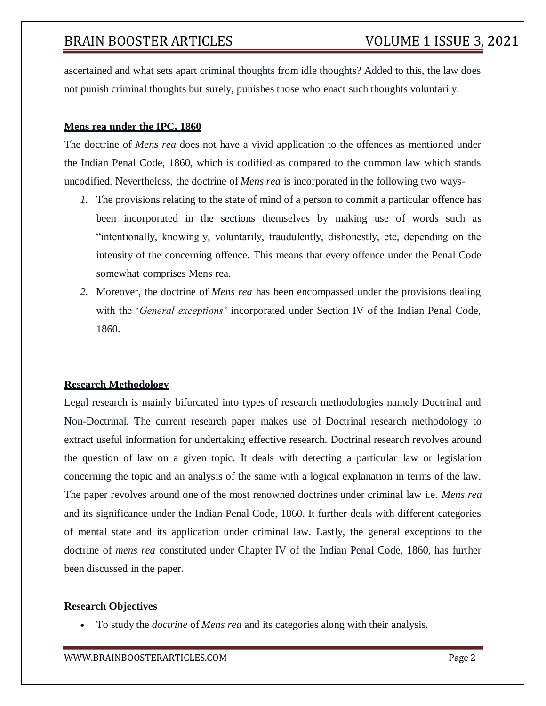ascertained and what sets apart criminal thoughts from idle thoughts? Added to this, the law does not punish criminal thoughts but surely, punishes those who enact such thoughts voluntarily.

## **Mens rea under the IPC, 1860**

The doctrine of *Mens rea* does not have a vivid application to the offences as mentioned under the Indian Penal Code, 1860, which is codified as compared to the common law which stands uncodified. Nevertheless, the doctrine of *Mens rea* is incorporated in the following two ways-

- *1.* The provisions relating to the state of mind of a person to commit a particular offence has been incorporated in the sections themselves by making use of words such as "intentionally, knowingly, voluntarily, fraudulently, dishonestly, etc, depending on the intensity of the concerning offence. This means that every offence under the Penal Code somewhat comprises Mens rea*.*
- *2.* Moreover, the doctrine of *Mens rea* has been encompassed under the provisions dealing with the '*General exceptions'* incorporated under Section IV of the Indian Penal Code, 1860.

## **Research Methodology**

Legal research is mainly bifurcated into types of research methodologies namely Doctrinal and Non-Doctrinal. The current research paper makes use of Doctrinal research methodology to extract useful information for undertaking effective research. Doctrinal research revolves around the question of law on a given topic. It deals with detecting a particular law or legislation concerning the topic and an analysis of the same with a logical explanation in terms of the law. The paper revolves around one of the most renowned doctrines under criminal law i.e. *Mens rea* and its significance under the Indian Penal Code, 1860. It further deals with different categories of mental state and its application under criminal law. Lastly, the general exceptions to the doctrine of *mens rea* constituted under Chapter IV of the Indian Penal Code, 1860, has further been discussed in the paper.

#### **Research Objectives**

To study the *doctrine* of *Mens rea* and its categories along with their analysis.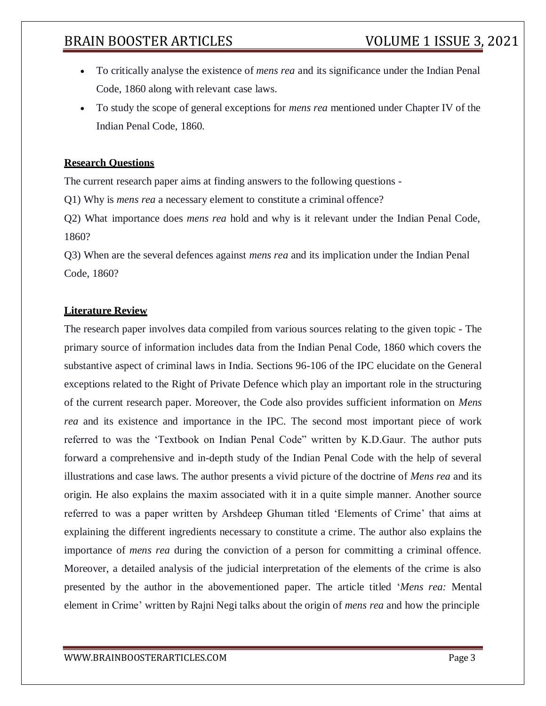- To critically analyse the existence of *mens rea* and its significance under the Indian Penal Code, 1860 along with relevant case laws.
- To study the scope of general exceptions for *mens rea* mentioned under Chapter IV of the Indian Penal Code, 1860.

## **Research Questions**

The current research paper aims at finding answers to the following questions -

Q1) Why is *mens rea* a necessary element to constitute a criminal offence?

Q2) What importance does *mens rea* hold and why is it relevant under the Indian Penal Code, 1860?

Q3) When are the several defences against *mens rea* and its implication under the Indian Penal Code, 1860?

## **Literature Review**

The research paper involves data compiled from various sources relating to the given topic - The primary source of information includes data from the Indian Penal Code, 1860 which covers the substantive aspect of criminal laws in India. Sections 96-106 of the IPC elucidate on the General exceptions related to the Right of Private Defence which play an important role in the structuring of the current research paper. Moreover, the Code also provides sufficient information on *Mens rea* and its existence and importance in the IPC. The second most important piece of work referred to was the 'Textbook on Indian Penal Code" written by K.D.Gaur. The author puts forward a comprehensive and in-depth study of the Indian Penal Code with the help of several illustrations and case laws. The author presents a vivid picture of the doctrine of *Mens rea* and its origin. He also explains the maxim associated with it in a quite simple manner. Another source referred to was a paper written by Arshdeep Ghuman titled 'Elements of Crime' that aims at explaining the different ingredients necessary to constitute a crime. The author also explains the importance of *mens rea* during the conviction of a person for committing a criminal offence. Moreover, a detailed analysis of the judicial interpretation of the elements of the crime is also presented by the author in the abovementioned paper. The article titled '*Mens rea:* Mental element in Crime' written by Rajni Negi talks about the origin of *mens rea* and how the principle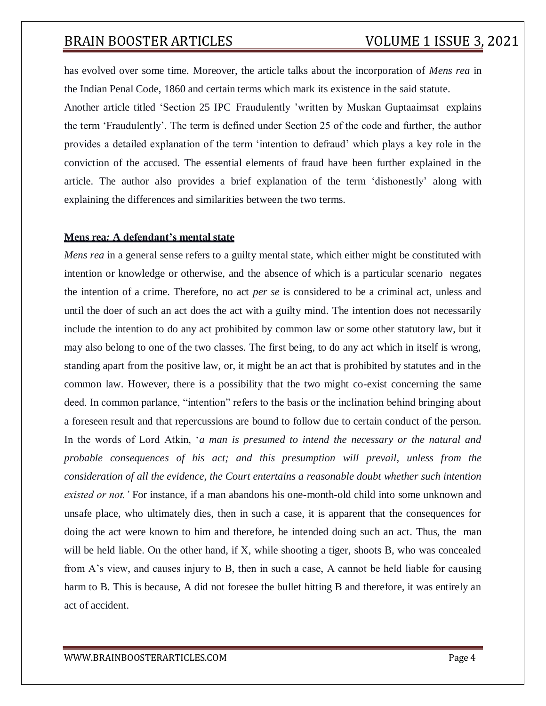has evolved over some time. Moreover, the article talks about the incorporation of *Mens rea* in the Indian Penal Code, 1860 and certain terms which mark its existence in the said statute.

Another article titled 'Section 25 IPC–Fraudulently 'written by Muskan Guptaaimsat explains the term 'Fraudulently'. The term is defined under Section 25 of the code and further, the author provides a detailed explanation of the term 'intention to defraud' which plays a key role in the conviction of the accused. The essential elements of fraud have been further explained in the article. The author also provides a brief explanation of the term 'dishonestly' along with explaining the differences and similarities between the two terms.

### **Mens rea***:* **A defendant's mental state**

*Mens rea* in a general sense refers to a guilty mental state, which either might be constituted with intention or knowledge or otherwise, and the absence of which is a particular scenario negates the intention of a crime. Therefore, no act *per se* is considered to be a criminal act, unless and until the doer of such an act does the act with a guilty mind. The intention does not necessarily include the intention to do any act prohibited by common law or some other statutory law, but it may also belong to one of the two classes. The first being, to do any act which in itself is wrong, standing apart from the positive law, or, it might be an act that is prohibited by statutes and in the common law. However, there is a possibility that the two might co-exist concerning the same deed. In common parlance, "intention" refers to the basis or the inclination behind bringing about a foreseen result and that repercussions are bound to follow due to certain conduct of the person. In the words of Lord Atkin, '*a man is presumed to intend the necessary or the natural and probable consequences of his act; and this presumption will prevail, unless from the consideration of all the evidence, the Court entertains a reasonable doubt whether such intention existed or not.'* For instance, if a man abandons his one-month-old child into some unknown and unsafe place, who ultimately dies, then in such a case, it is apparent that the consequences for doing the act were known to him and therefore, he intended doing such an act. Thus, the man will be held liable. On the other hand, if X, while shooting a tiger, shoots B, who was concealed from A's view, and causes injury to B, then in such a case, A cannot be held liable for causing harm to B. This is because, A did not foresee the bullet hitting B and therefore, it was entirely an act of accident.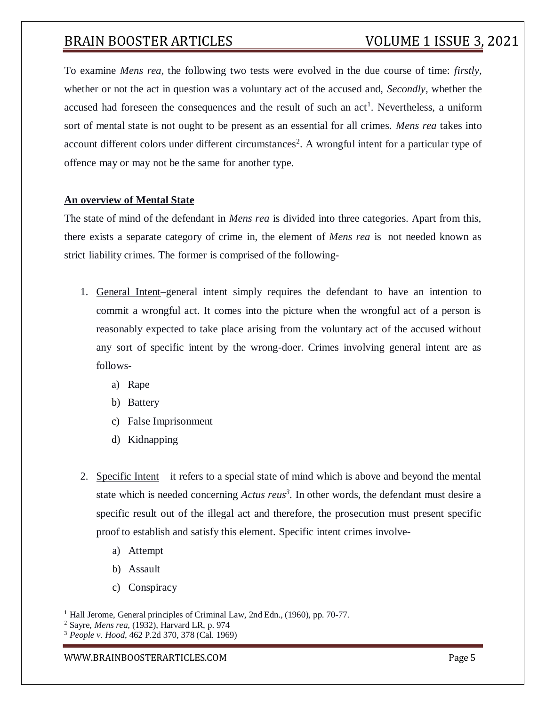To examine *Mens rea,* the following two tests were evolved in the due course of time: *firstly,* whether or not the act in question was a voluntary act of the accused and, *Secondly,* whether the accused had foreseen the consequences and the result of such an  $act<sup>1</sup>$ . Nevertheless, a uniform sort of mental state is not ought to be present as an essential for all crimes. *Mens rea* takes into account different colors under different circumstances<sup>2</sup>. A wrongful intent for a particular type of offence may or may not be the same for another type.

## **An overview of Mental State**

The state of mind of the defendant in *Mens rea* is divided into three categories. Apart from this, there exists a separate category of crime in, the element of *Mens rea* is not needed known as strict liability crimes. The former is comprised of the following-

- 1. General Intent–general intent simply requires the defendant to have an intention to commit a wrongful act. It comes into the picture when the wrongful act of a person is reasonably expected to take place arising from the voluntary act of the accused without any sort of specific intent by the wrong-doer. Crimes involving general intent are as follows
	- a) Rape
	- b) Battery
	- c) False Imprisonment
	- d) Kidnapping
- 2. Specific Intent it refers to a special state of mind which is above and beyond the mental state which is needed concerning *Actus reus<sup>3</sup> .* In other words, the defendant must desire a specific result out of the illegal act and therefore, the prosecution must present specific proof to establish and satisfy this element. Specific intent crimes involve
	- a) Attempt
	- b) Assault
	- c) Conspiracy

<sup>&</sup>lt;sup>1</sup> Hall Jerome, General principles of Criminal Law, 2nd Edn., (1960), pp. 70-77.

<sup>2</sup> Sayre, *Mens rea,* (1932), Harvard LR, p. 974

<sup>3</sup> *People v. Hood*, 462 P.2d 370, 378 (Cal. 1969)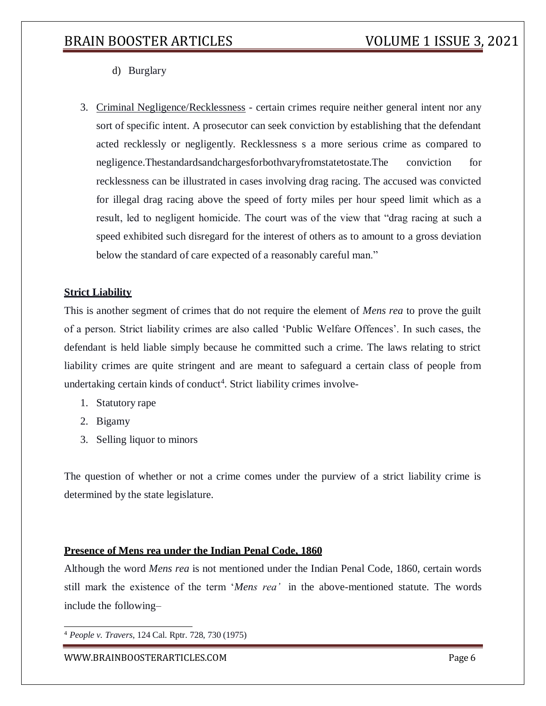- d) Burglary
- 3. Criminal Negligence/Recklessness certain crimes require neither general intent nor any sort of specific intent. A prosecutor can seek conviction by establishing that the defendant acted recklessly or negligently. Recklessness s a more serious crime as compared to negligence.Thestandardsandchargesforbothvaryfromstatetostate.The conviction for recklessness can be illustrated in cases involving drag racing. The accused was convicted for illegal drag racing above the speed of forty miles per hour speed limit which as a result, led to negligent homicide. The court was of the view that "drag racing at such a speed exhibited such disregard for the interest of others as to amount to a gross deviation below the standard of care expected of a reasonably careful man."

## **Strict Liability**

This is another segment of crimes that do not require the element of *Mens rea* to prove the guilt of a person. Strict liability crimes are also called 'Public Welfare Offences'. In such cases, the defendant is held liable simply because he committed such a crime. The laws relating to strict liability crimes are quite stringent and are meant to safeguard a certain class of people from undertaking certain kinds of conduct<sup>4</sup>. Strict liability crimes involve-

- 1. Statutory rape
- 2. Bigamy
- 3. Selling liquor to minors

The question of whether or not a crime comes under the purview of a strict liability crime is determined by the state legislature.

## **Presence of Mens rea under the Indian Penal Code, 1860**

Although the word *Mens rea* is not mentioned under the Indian Penal Code, 1860, certain words still mark the existence of the term '*Mens rea'* in the above-mentioned statute. The words include the following–

<sup>4</sup> *People v. Travers*, 124 Cal. Rptr. 728, 730 (1975)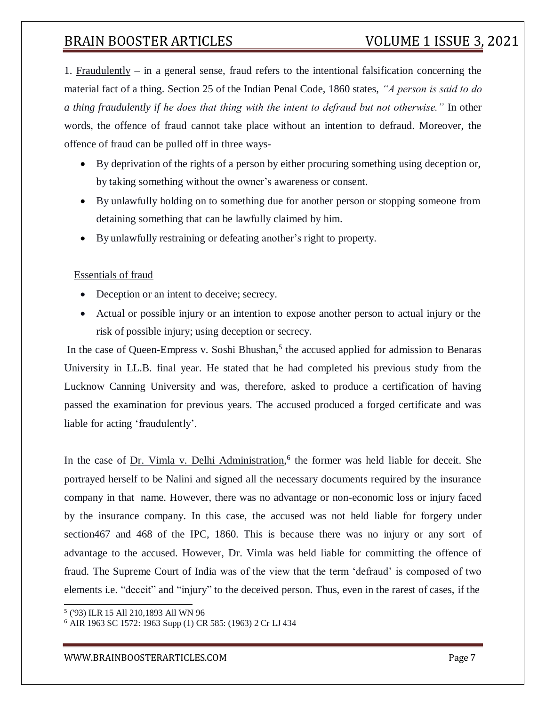1. Fraudulently – in a general sense, fraud refers to the intentional falsification concerning the material fact of a thing. Section 25 of the Indian Penal Code, 1860 states, *"A person is said to do a thing fraudulently if he does that thing with the intent to defraud but not otherwise."* In other words, the offence of fraud cannot take place without an intention to defraud. Moreover, the offence of fraud can be pulled off in three ways-

- By deprivation of the rights of a person by either procuring something using deception or, by taking something without the owner's awareness or consent.
- By unlawfully holding on to something due for another person or stopping someone from detaining something that can be lawfully claimed by him.
- By unlawfully restraining or defeating another's right to property.

## Essentials of fraud

- Deception or an intent to deceive; secrecy.
- Actual or possible injury or an intention to expose another person to actual injury or the risk of possible injury; using deception or secrecy.

In the case of Queen-Empress v. Soshi Bhushan,<sup>5</sup> the accused applied for admission to Benaras University in LL.B. final year. He stated that he had completed his previous study from the Lucknow Canning University and was, therefore, asked to produce a certification of having passed the examination for previous years. The accused produced a forged certificate and was liable for acting 'fraudulently'.

In the case of <u>Dr. Vimla v. Delhi Administration</u>,<sup>6</sup> the former was held liable for deceit. She portrayed herself to be Nalini and signed all the necessary documents required by the insurance company in that name. However, there was no advantage or non-economic loss or injury faced by the insurance company. In this case, the accused was not held liable for forgery under section467 and 468 of the IPC, 1860. This is because there was no injury or any sort of advantage to the accused. However, Dr. Vimla was held liable for committing the offence of fraud. The Supreme Court of India was of the view that the term 'defraud' is composed of two elements i.e. "deceit" and "injury" to the deceived person. Thus, even in the rarest of cases, if the

<sup>5</sup> ('93) ILR 15 All 210,1893 All WN 96

<sup>6</sup> AIR 1963 SC 1572: 1963 Supp (1) CR 585: (1963) 2 Cr LJ 434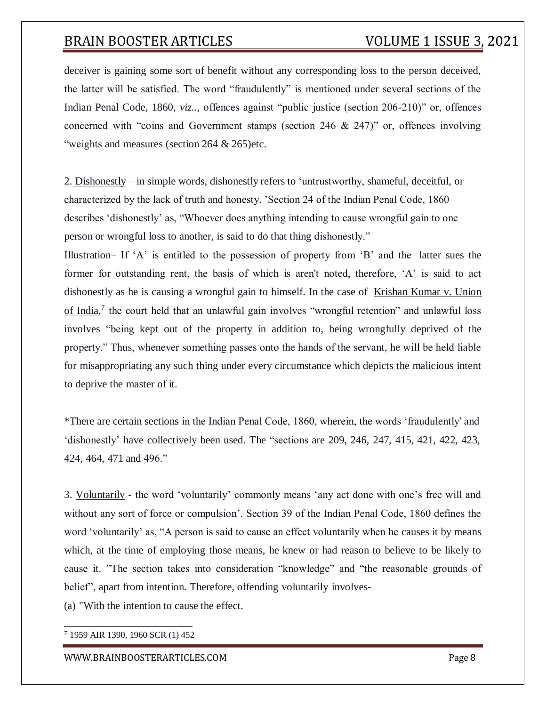deceiver is gaining some sort of benefit without any corresponding loss to the person deceived, the latter will be satisfied. The word "fraudulently" is mentioned under several sections of the Indian Penal Code, 1860, *viz..,* offences against "public justice (section 206-210)" or, offences concerned with "coins and Government stamps (section 246 & 247)" or, offences involving "weights and measures (section 264 & 265)etc.

2. Dishonestly – in simple words, dishonestly refers to 'untrustworthy, shameful, deceitful, or characterized by the lack of truth and honesty. 'Section 24 of the Indian Penal Code, 1860 describes 'dishonestly' as, "Whoever does anything intending to cause wrongful gain to one person or wrongful loss to another, is said to do that thing dishonestly."

Illustration– If 'A' is entitled to the possession of property from 'B' and the latter sues the former for outstanding rent, the basis of which is aren't noted, therefore, 'A' is said to act dishonestly as he is causing a wrongful gain to himself. In the case of Krishan Kumar v. Union of India,<sup>7</sup> the court held that an unlawful gain involves "wrongful retention" and unlawful loss involves "being kept out of the property in addition to, being wrongfully deprived of the property." Thus, whenever something passes onto the hands of the servant, he will be held liable for misappropriating any such thing under every circumstance which depicts the malicious intent to deprive the master of it.

\*There are certain sections in the Indian Penal Code, 1860, wherein, the words 'fraudulently' and 'dishonestly' have collectively been used. The "sections are 209, 246, 247, 415, 421, 422, 423, 424, 464, 471 and 496."

3. Voluntarily - the word 'voluntarily' commonly means 'any act done with one's free will and without any sort of force or compulsion'. Section 39 of the Indian Penal Code, 1860 defines the word 'voluntarily' as, "A person is said to cause an effect voluntarily when he causes it by means which, at the time of employing those means, he knew or had reason to believe to be likely to cause it. "The section takes into consideration "knowledge" and "the reasonable grounds of belief", apart from intention. Therefore, offending voluntarily involves-

(a) "With the intention to cause the effect.

<sup>7</sup> 1959 AIR 1390, 1960 SCR (1) 452

#### [WWW.BRAINBOOSTERARTICLES.COM](http://www.brainboosterarticles.com/) Page 8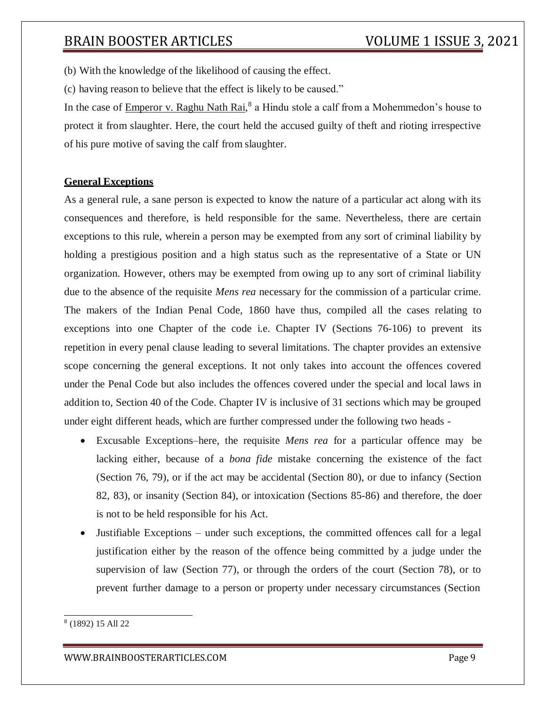(b) With the knowledge of the likelihood of causing the effect.

(c) having reason to believe that the effect is likely to be caused."

In the case of **Emperor v. Raghu Nath Rai**,<sup>8</sup> a Hindu stole a calf from a Mohemmedon's house to protect it from slaughter. Here, the court held the accused guilty of theft and rioting irrespective of his pure motive of saving the calf from slaughter.

## **General Exceptions**

As a general rule, a sane person is expected to know the nature of a particular act along with its consequences and therefore, is held responsible for the same. Nevertheless, there are certain exceptions to this rule, wherein a person may be exempted from any sort of criminal liability by holding a prestigious position and a high status such as the representative of a State or UN organization. However, others may be exempted from owing up to any sort of criminal liability due to the absence of the requisite *Mens rea* necessary for the commission of a particular crime. The makers of the Indian Penal Code, 1860 have thus, compiled all the cases relating to exceptions into one Chapter of the code i.e. Chapter IV (Sections 76-106) to prevent its repetition in every penal clause leading to several limitations. The chapter provides an extensive scope concerning the general exceptions. It not only takes into account the offences covered under the Penal Code but also includes the offences covered under the special and local laws in addition to, Section 40 of the Code. Chapter IV is inclusive of 31 sections which may be grouped under eight different heads, which are further compressed under the following two heads -

- Excusable Exceptions–here, the requisite *Mens rea* for a particular offence may be lacking either, because of a *bona fide* mistake concerning the existence of the fact (Section 76, 79), or if the act may be accidental (Section 80), or due to infancy (Section 82, 83), or insanity (Section 84), or intoxication (Sections 85-86) and therefore, the doer is not to be held responsible for his Act.
- Justifiable Exceptions under such exceptions, the committed offences call for a legal justification either by the reason of the offence being committed by a judge under the supervision of law (Section 77), or through the orders of the court (Section 78), or to prevent further damage to a person or property under necessary circumstances (Section

<sup>8</sup> (1892) 15 All 22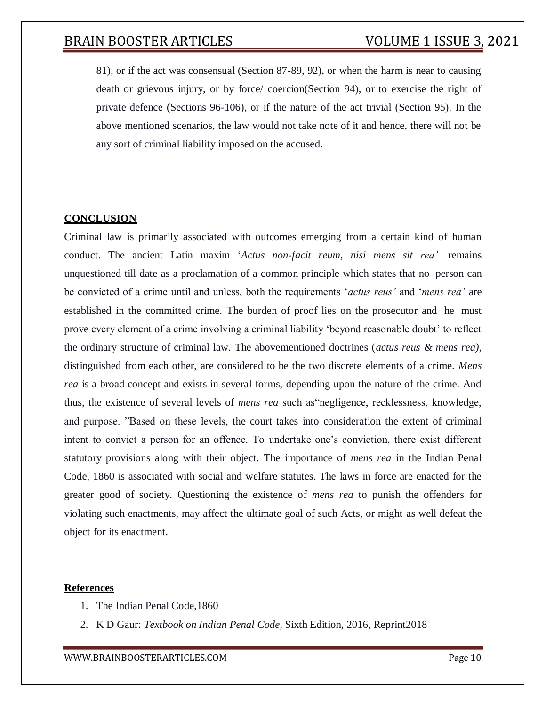81), or if the act was consensual (Section 87-89, 92), or when the harm is near to causing death or grievous injury, or by force/ coercion(Section 94), or to exercise the right of private defence (Sections 96-106), or if the nature of the act trivial (Section 95). In the above mentioned scenarios, the law would not take note of it and hence, there will not be any sort of criminal liability imposed on the accused.

## **CONCLUSION**

Criminal law is primarily associated with outcomes emerging from a certain kind of human conduct. The ancient Latin maxim '*Actus non-facit reum, nisi mens sit rea'* remains unquestioned till date as a proclamation of a common principle which states that no person can be convicted of a crime until and unless, both the requirements '*actus reus'* and '*mens rea'* are established in the committed crime. The burden of proof lies on the prosecutor and he must prove every element of a crime involving a criminal liability 'beyond reasonable doubt' to reflect the ordinary structure of criminal law. The abovementioned doctrines (*actus reus & mens rea),* distinguished from each other, are considered to be the two discrete elements of a crime. *Mens rea* is a broad concept and exists in several forms, depending upon the nature of the crime. And thus, the existence of several levels of *mens rea* such as"negligence, recklessness, knowledge, and purpose. "Based on these levels, the court takes into consideration the extent of criminal intent to convict a person for an offence. To undertake one's conviction, there exist different statutory provisions along with their object. The importance of *mens rea* in the Indian Penal Code, 1860 is associated with social and welfare statutes. The laws in force are enacted for the greater good of society. Questioning the existence of *mens rea* to punish the offenders for violating such enactments, may affect the ultimate goal of such Acts, or might as well defeat the object for its enactment.

## **References**

- 1. The Indian Penal Code,1860
- 2. K D Gaur: *Textbook on Indian Penal Code,* Sixth Edition, 2016, Reprint2018